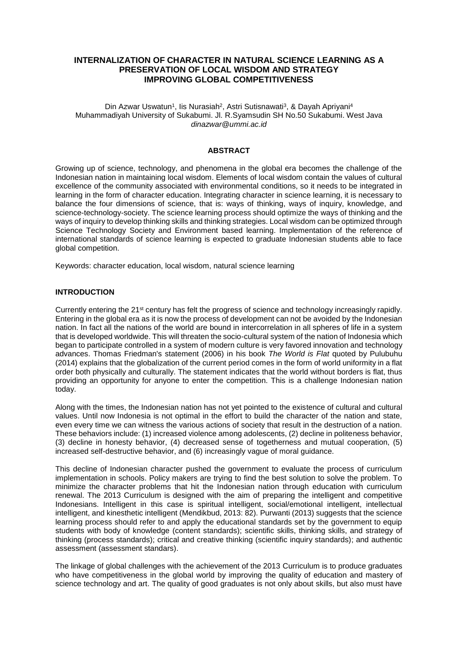# **INTERNALIZATION OF CHARACTER IN NATURAL SCIENCE LEARNING AS A PRESERVATION OF LOCAL WISDOM AND STRATEGY IMPROVING GLOBAL COMPETITIVENESS**

#### Din Azwar Uswatun<sup>1</sup>, lis Nurasiah<sup>2</sup>, Astri Sutisnawati<sup>3</sup>, & Dayah Apriyani<sup>4</sup> Muhammadiyah University of Sukabumi. Jl. R.Syamsudin SH No.50 Sukabumi. West Java *dinazwar@ummi.ac.id*

### **ABSTRACT**

Growing up of science, technology, and phenomena in the global era becomes the challenge of the Indonesian nation in maintaining local wisdom. Elements of local wisdom contain the values of cultural excellence of the community associated with environmental conditions, so it needs to be integrated in learning in the form of character education. Integrating character in science learning, it is necessary to balance the four dimensions of science, that is: ways of thinking, ways of inquiry, knowledge, and science-technology-society. The science learning process should optimize the ways of thinking and the ways of inquiry to develop thinking skills and thinking strategies. Local wisdom can be optimized through Science Technology Society and Environment based learning. Implementation of the reference of international standards of science learning is expected to graduate Indonesian students able to face global competition.

Keywords: character education, local wisdom, natural science learning

#### **INTRODUCTION**

Currently entering the 21st century has felt the progress of science and technology increasingly rapidly. Entering in the global era as it is now the process of development can not be avoided by the Indonesian nation. In fact all the nations of the world are bound in intercorrelation in all spheres of life in a system that is developed worldwide. This will threaten the socio-cultural system of the nation of Indonesia which began to participate controlled in a system of modern culture is very favored innovation and technology advances. Thomas Friedman's statement (2006) in his book *The World is Flat* quoted by Pulubuhu (2014) explains that the globalization of the current period comes in the form of world uniformity in a flat order both physically and culturally. The statement indicates that the world without borders is flat, thus providing an opportunity for anyone to enter the competition. This is a challenge Indonesian nation today.

Along with the times, the Indonesian nation has not yet pointed to the existence of cultural and cultural values. Until now Indonesia is not optimal in the effort to build the character of the nation and state, even every time we can witness the various actions of society that result in the destruction of a nation. These behaviors include: (1) increased violence among adolescents, (2) decline in politeness behavior, (3) decline in honesty behavior, (4) decreased sense of togetherness and mutual cooperation, (5) increased self-destructive behavior, and (6) increasingly vague of moral guidance.

This decline of Indonesian character pushed the government to evaluate the process of curriculum implementation in schools. Policy makers are trying to find the best solution to solve the problem. To minimize the character problems that hit the Indonesian nation through education with curriculum renewal. The 2013 Curriculum is designed with the aim of preparing the intelligent and competitive Indonesians. Intelligent in this case is spiritual intelligent, social/emotional intelligent, intellectual intelligent, and kinesthetic intelligent (Mendikbud, 2013: 82). Purwanti (2013) suggests that the science learning process should refer to and apply the educational standards set by the government to equip students with body of knowledge (content standards); scientific skills, thinking skills, and strategy of thinking (process standards); critical and creative thinking (scientific inquiry standards); and authentic assessment (assessment standars).

The linkage of global challenges with the achievement of the 2013 Curriculum is to produce graduates who have competitiveness in the global world by improving the quality of education and mastery of science technology and art. The quality of good graduates is not only about skills, but also must have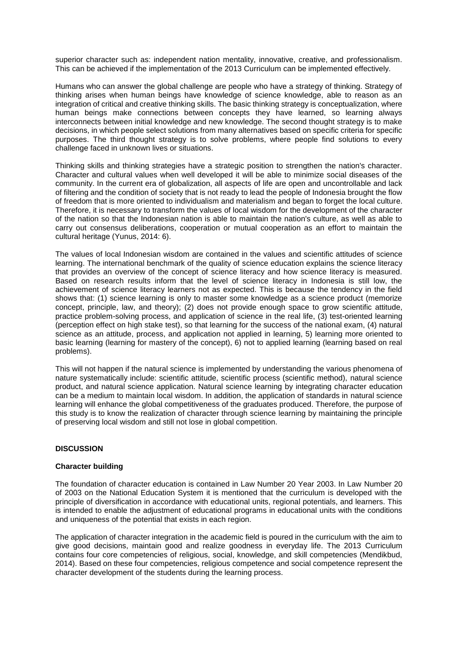superior character such as: independent nation mentality, innovative, creative, and professionalism. This can be achieved if the implementation of the 2013 Curriculum can be implemented effectively.

Humans who can answer the global challenge are people who have a strategy of thinking. Strategy of thinking arises when human beings have knowledge of science knowledge, able to reason as an integration of critical and creative thinking skills. The basic thinking strategy is conceptualization, where human beings make connections between concepts they have learned, so learning always interconnects between initial knowledge and new knowledge. The second thought strategy is to make decisions, in which people select solutions from many alternatives based on specific criteria for specific purposes. The third thought strategy is to solve problems, where people find solutions to every challenge faced in unknown lives or situations.

Thinking skills and thinking strategies have a strategic position to strengthen the nation's character. Character and cultural values when well developed it will be able to minimize social diseases of the community. In the current era of globalization, all aspects of life are open and uncontrollable and lack of filtering and the condition of society that is not ready to lead the people of Indonesia brought the flow of freedom that is more oriented to individualism and materialism and began to forget the local culture. Therefore, it is necessary to transform the values of local wisdom for the development of the character of the nation so that the Indonesian nation is able to maintain the nation's culture, as well as able to carry out consensus deliberations, cooperation or mutual cooperation as an effort to maintain the cultural heritage (Yunus, 2014: 6).

The values of local Indonesian wisdom are contained in the values and scientific attitudes of science learning. The international benchmark of the quality of science education explains the science literacy that provides an overview of the concept of science literacy and how science literacy is measured. Based on research results inform that the level of science literacy in Indonesia is still low, the achievement of science literacy learners not as expected. This is because the tendency in the field shows that: (1) science learning is only to master some knowledge as a science product (memorize concept, principle, law, and theory); (2) does not provide enough space to grow scientific attitude, practice problem-solving process, and application of science in the real life, (3) test-oriented learning (perception effect on high stake test), so that learning for the success of the national exam, (4) natural science as an attitude, process, and application not applied in learning, 5) learning more oriented to basic learning (learning for mastery of the concept), 6) not to applied learning (learning based on real problems).

This will not happen if the natural science is implemented by understanding the various phenomena of nature systematically include: scientific attitude, scientific process (scientific method), natural science product, and natural science application. Natural science learning by integrating character education can be a medium to maintain local wisdom. In addition, the application of standards in natural science learning will enhance the global competitiveness of the graduates produced. Therefore, the purpose of this study is to know the realization of character through science learning by maintaining the principle of preserving local wisdom and still not lose in global competition.

#### **DISCUSSION**

#### **Character building**

The foundation of character education is contained in Law Number 20 Year 2003. In Law Number 20 of 2003 on the National Education System it is mentioned that the curriculum is developed with the principle of diversification in accordance with educational units, regional potentials, and learners. This is intended to enable the adjustment of educational programs in educational units with the conditions and uniqueness of the potential that exists in each region.

The application of character integration in the academic field is poured in the curriculum with the aim to give good decisions, maintain good and realize goodness in everyday life. The 2013 Curriculum contains four core competencies of religious, social, knowledge, and skill competencies (Mendikbud, 2014). Based on these four competencies, religious competence and social competence represent the character development of the students during the learning process.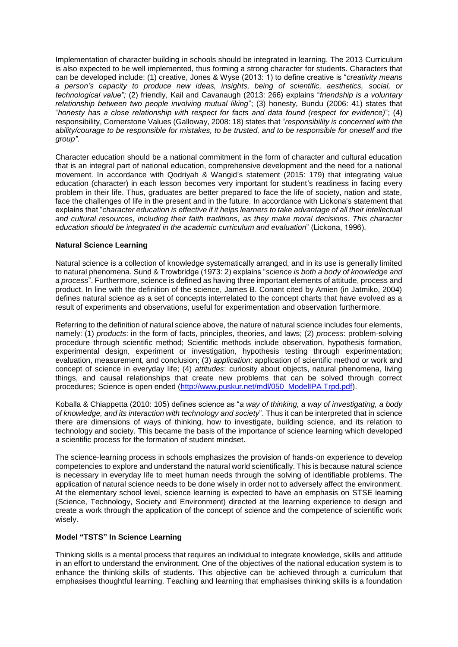Implementation of character building in schools should be integrated in learning. The 2013 Curriculum is also expected to be well implemented, thus forming a strong character for students. Characters that can be developed include: (1) creative, Jones & Wyse (2013: 1) to define creative is "*creativity means a person's capacity to produce new ideas, insights, being of scientific, aesthetics, social, or technological value";* (2) friendly, Kail and Cavanaugh (2013: 266) explains "*friendship is a voluntary relationship between two people involving mutual liking*"; (3) honesty, Bundu (2006: 41) states that "*honesty has a close relationship with respect for facts and data found (respect for evidence)*"; (4) responsibility, Cornerstone Values (Galloway, 2008: 18) states that "*responsibility is concerned with the ability/courage to be responsible for mistakes, to be trusted, and to be responsible for oneself and the group"*.

Character education should be a national commitment in the form of character and cultural education that is an integral part of national education, comprehensive development and the need for a national movement. In accordance with Qodriyah & Wangid's statement (2015: 179) that integrating value education (character) in each lesson becomes very important for student's readiness in facing every problem in their life. Thus, graduates are better prepared to face the life of society, nation and state, face the challenges of life in the present and in the future. In accordance with Lickona's statement that explains that "*character education is effective if it helps learners to take advantage of all their intellectual and cultural resources, including their faith traditions, as they make moral decisions. This character education should be integrated in the academic curriculum and evaluation*" (Lickona, 1996).

### **Natural Science Learning**

Natural science is a collection of knowledge systematically arranged, and in its use is generally limited to natural phenomena. Sund & Trowbridge (1973: 2) explains "*science is both a body of knowledge and a process*". Furthermore, science is defined as having three important elements of attitude, process and product. In line with the definition of the science, James B. Conant cited by Amien (in Jatmiko, 2004) defines natural science as a set of concepts interrelated to the concept charts that have evolved as a result of experiments and observations, useful for experimentation and observation furthermore.

Referring to the definition of natural science above, the nature of natural science includes four elements, namely: (1) *products*: in the form of facts, principles, theories, and laws; (2) *process*: problem-solving procedure through scientific method; Scientific methods include observation, hypothesis formation, experimental design, experiment or investigation, hypothesis testing through experimentation; evaluation, measurement, and conclusion; (3) *application*: application of scientific method or work and concept of science in everyday life; (4) *attitudes*: curiosity about objects, natural phenomena, living things, and causal relationships that create new problems that can be solved through correct procedures; Science is open ended [\(http://www.puskur.net/mdl/050\\_ModelIPA Trpd.pdf\)](http://www.puskur.net/mdl/050_ModelIPA%20Trpd.pdf).

Koballa & Chiappetta (2010: 105) defines science as "*a way of thinking, a way of investigating, a body of knowledge, and its interaction with technology and society*". Thus it can be interpreted that in science there are dimensions of ways of thinking, how to investigate, building science, and its relation to technology and society. This became the basis of the importance of science learning which developed a scientific process for the formation of student mindset.

The science-learning process in schools emphasizes the provision of hands-on experience to develop competencies to explore and understand the natural world scientifically. This is because natural science is necessary in everyday life to meet human needs through the solving of identifiable problems. The application of natural science needs to be done wisely in order not to adversely affect the environment. At the elementary school level, science learning is expected to have an emphasis on STSE learning (Science, Technology, Society and Environment) directed at the learning experience to design and create a work through the application of the concept of science and the competence of scientific work wisely.

#### **Model "TSTS" In Science Learning**

Thinking skills is a mental process that requires an individual to integrate knowledge, skills and attitude in an effort to understand the environment. One of the objectives of the national education system is to enhance the thinking skills of students. This objective can be achieved through a curriculum that emphasises thoughtful learning. Teaching and learning that emphasises thinking skills is a foundation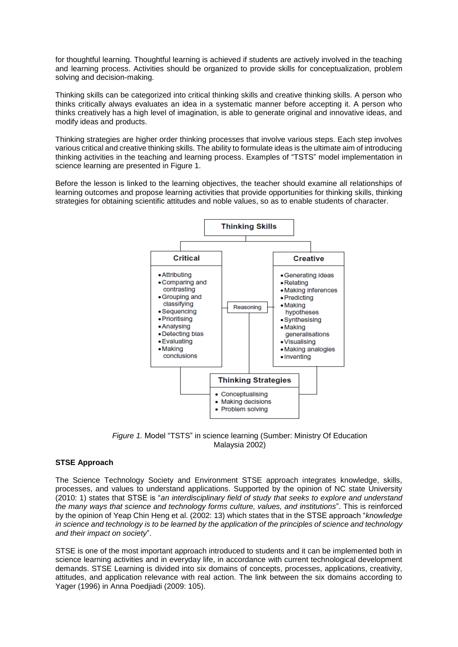for thoughtful learning. Thoughtful learning is achieved if students are actively involved in the teaching and learning process. Activities should be organized to provide skills for conceptualization, problem solving and decision-making.

Thinking skills can be categorized into critical thinking skills and creative thinking skills. A person who thinks critically always evaluates an idea in a systematic manner before accepting it. A person who thinks creatively has a high level of imagination, is able to generate original and innovative ideas, and modify ideas and products.

Thinking strategies are higher order thinking processes that involve various steps. Each step involves various critical and creative thinking skills. The ability to formulate ideas is the ultimate aim of introducing thinking activities in the teaching and learning process. Examples of "TSTS" model implementation in science learning are presented in Figure 1.

Before the lesson is linked to the learning objectives, the teacher should examine all relationships of learning outcomes and propose learning activities that provide opportunities for thinking skills, thinking strategies for obtaining scientific attitudes and noble values, so as to enable students of character.



*Figure 1.* Model "TSTS" in science learning (Sumber: Ministry Of Education Malaysia 2002)

## **STSE Approach**

The Science Technology Society and Environment STSE approach integrates knowledge, skills, processes, and values to understand applications. Supported by the opinion of NC state University (2010: 1) states that STSE is "*an interdisciplinary field of study that seeks to explore and understand the many ways that science and technology forms culture, values, and institutions*". This is reinforced by the opinion of Yeap Chin Heng et al. (2002: 13) which states that in the STSE approach "*knowledge in science and technology is to be learned by the application of the principles of science and technology and their impact on society*".

STSE is one of the most important approach introduced to students and it can be implemented both in science learning activities and in everyday life, in accordance with current technological development demands. STSE Learning is divided into six domains of concepts, processes, applications, creativity, attitudes, and application relevance with real action. The link between the six domains according to Yager (1996) in Anna Poedjiadi (2009: 105).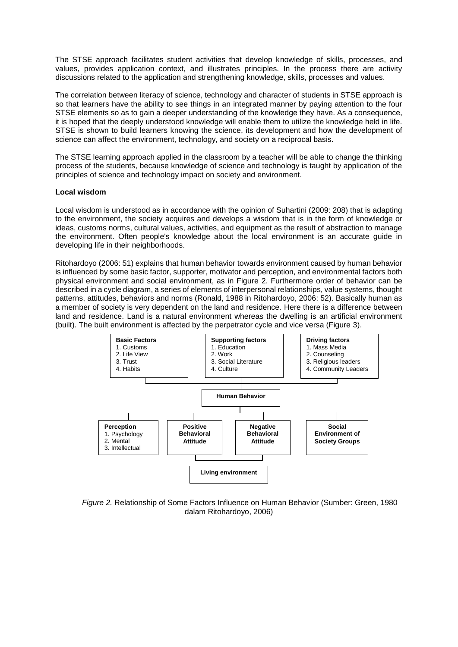The STSE approach facilitates student activities that develop knowledge of skills, processes, and values, provides application context, and illustrates principles. In the process there are activity discussions related to the application and strengthening knowledge, skills, processes and values.

The correlation between literacy of science, technology and character of students in STSE approach is so that learners have the ability to see things in an integrated manner by paying attention to the four STSE elements so as to gain a deeper understanding of the knowledge they have. As a consequence, it is hoped that the deeply understood knowledge will enable them to utilize the knowledge held in life. STSE is shown to build learners knowing the science, its development and how the development of science can affect the environment, technology, and society on a reciprocal basis.

The STSE learning approach applied in the classroom by a teacher will be able to change the thinking process of the students, because knowledge of science and technology is taught by application of the principles of science and technology impact on society and environment.

#### **Local wisdom**

Local wisdom is understood as in accordance with the opinion of Suhartini (2009: 208) that is adapting to the environment, the society acquires and develops a wisdom that is in the form of knowledge or ideas, customs norms, cultural values, activities, and equipment as the result of abstraction to manage the environment. Often people's knowledge about the local environment is an accurate guide in developing life in their neighborhoods.

Ritohardoyo (2006: 51) explains that human behavior towards environment caused by human behavior is influenced by some basic factor, supporter, motivator and perception, and environmental factors both physical environment and social environment, as in Figure 2. Furthermore order of behavior can be described in a cycle diagram, a series of elements of interpersonal relationships, value systems, thought patterns, attitudes, behaviors and norms (Ronald, 1988 in Ritohardoyo, 2006: 52). Basically human as a member of society is very dependent on the land and residence. Here there is a difference between land and residence. Land is a natural environment whereas the dwelling is an artificial environment (built). The built environment is affected by the perpetrator cycle and vice versa (Figure 3).



*Figure 2.* Relationship of Some Factors Influence on Human Behavior (Sumber: Green, 1980 dalam Ritohardoyo, 2006)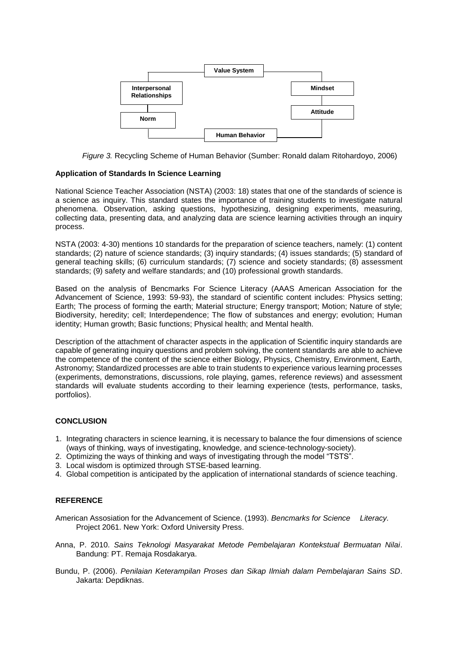

*Figure 3.* Recycling Scheme of Human Behavior (Sumber: Ronald dalam Ritohardoyo, 2006)

#### **Application of Standards In Science Learning**

National Science Teacher Association (NSTA) (2003: 18) states that one of the standards of science is a science as inquiry. This standard states the importance of training students to investigate natural phenomena. Observation, asking questions, hypothesizing, designing experiments, measuring, collecting data, presenting data, and analyzing data are science learning activities through an inquiry process.

NSTA (2003: 4-30) mentions 10 standards for the preparation of science teachers, namely: (1) content standards; (2) nature of science standards; (3) inquiry standards; (4) issues standards; (5) standard of general teaching skills; (6) curriculum standards; (7) science and society standards; (8) assessment standards; (9) safety and welfare standards; and (10) professional growth standards.

Based on the analysis of Bencmarks For Science Literacy (AAAS American Association for the Advancement of Science, 1993: 59-93), the standard of scientific content includes: Physics setting; Earth; The process of forming the earth; Material structure; Energy transport; Motion; Nature of style; Biodiversity, heredity; cell; Interdependence; The flow of substances and energy; evolution; Human identity; Human growth; Basic functions; Physical health; and Mental health.

Description of the attachment of character aspects in the application of Scientific inquiry standards are capable of generating inquiry questions and problem solving, the content standards are able to achieve the competence of the content of the science either Biology, Physics, Chemistry, Environment, Earth, Astronomy; Standardized processes are able to train students to experience various learning processes (experiments, demonstrations, discussions, role playing, games, reference reviews) and assessment standards will evaluate students according to their learning experience (tests, performance, tasks, portfolios).

#### **CONCLUSION**

- 1. Integrating characters in science learning, it is necessary to balance the four dimensions of science (ways of thinking, ways of investigating, knowledge, and science-technology-society).
- 2. Optimizing the ways of thinking and ways of investigating through the model "TSTS".
- 3. Local wisdom is optimized through STSE-based learning.
- 4. Global competition is anticipated by the application of international standards of science teaching.

## **REFERENCE**

- American Assosiation for the Advancement of Science. (1993). *Bencmarks for Science Literacy.* Project 2061. New York: Oxford University Press.
- Anna, P. 2010. *Sains Teknologi Masyarakat Metode Pembelajaran Kontekstual Bermuatan Nilai*. Bandung: PT. Remaja Rosdakarya.
- Bundu, P. (2006). *Penilaian Keterampilan Proses dan Sikap Ilmiah dalam Pembelajaran Sains SD*. Jakarta: Depdiknas.